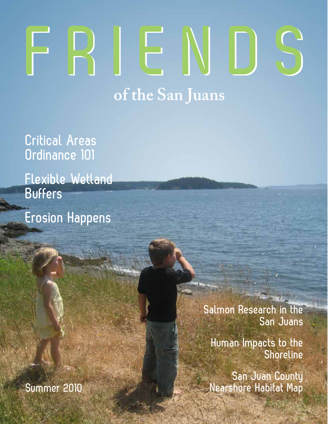# **FRIENDS of the San Juans FRIENDS**

**Critical Areas Ordinance 101 Flexible Wetland** 

**Buffers Erosion Happens**

> **Salmon Research in the San Juans**

> > **Human Impacts to the Shoreline**

**San Juan County**  Summer 2010 **Manual Accord Manual Accord Manual Accord Manual Accord Manual Accord Manual Accord Manual Accord Ma**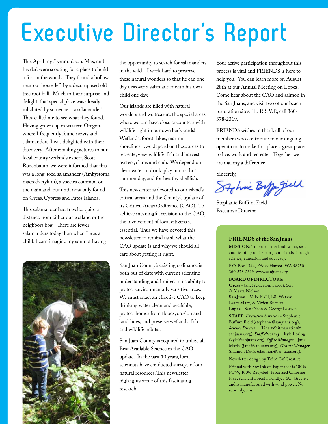# **Executive Director's Report**

This April my 5 year old son, Max, and his dad were scouting for a place to build a fort in the woods. They found a hollow near our house left by a decomposed old tree root ball. Much to their surprise and delight, that special place was already inhabited by someone…a salamander! They called me to see what they found. Having grown up in western Oregon, where I frequently found newts and salamanders, I was delighted with their discovery. After emailing pictures to our local county wetlands expert, Scott Rozenbaum, we were informed that this was a long-toed salamander (Ambystoma macrodactylum), a species common on the mainland, but until now only found on Orcas, Cypress and Patos Islands.

This salamander had traveled quite a distance from either our wetland or the neighbors bog. There are fewer salamanders today than when I was a child. I can't imagine my son not having



the opportunity to search for salamanders in the wild. I work hard to preserve these natural wonders so that he can one day discover a salamander with his own child one day.

Our islands are filled with natural wonders and we treasure the special areas where we can have close encounters with wildlife right in our own back yards! Wetlands, forest, lakes, marine shorelines…we depend on these areas to recreate, view wildlife, fish and harvest oysters, clams and crab. We depend on clean water to drink, play in on a hot summer day, and for healthy shellfish.

This newsletter is devoted to our island's critical areas and the County's update of its Critical Areas Ordinance (CAO). To achieve meaningful revision to the CAO, the involvement of local citizens is essential. Thus we have devoted this newsletter to remind us all what the CAO update is and why we should all care about getting it right.

San Juan County's existing ordinance is both out of date with current scientific understanding and limited in its ability to protect environmentally sensitive areas. We must enact an effective CAO to keep drinking water clean and available; protect homes from floods, erosion and landslides; and preserve wetlands, fish and wildlife habitat.

San Juan County is required to utilize all Best Available Science in the CAO update. In the past 10 years, local scientists have conducted surveys of our natural resources. This newsletter highlights some of this fascinating research.

Your active participation throughout this process is vital and FRIENDS is here to help you. You can learn more on August 28th at our Annual Meeting on Lopez. Come hear about the CAO and salmon in the San Juans, and visit two of our beach restoration sites. To R.S.V.P., call 360- 378-2319.

FRIENDS wishes to thank all of our members who contribute to our ongoing operations to make this place a great place to live, work and recreate. Together we are making a difference.

Sincerely,

Stohnic Biffor Jill

Stephanie Buffum Field Executive Director

#### **FRIENDS of the San Juans**

**MISSION:** To protect the land, water, sea, and livability of the San Juan Islands through science, education and advocacy.

P.O. Box 1344, Friday Harbor, WA 98250 360-378-2319 www.sanjuans.org

#### **BOARD OF DIRECTORS:**

**Orcas** - Janet Alderton, Farouk Seif & Marta Nielson **San Juan** - Mike Kaill, Bill Watson,

Larry Marx, & Vivien Burnett **Lopez** - San Olson & George Lawson

**STAFF:** *Executive Director* - Stephanie Buffum Field (stephanie@sanjuans.org), *Science Director* - Tina Whitman (tina@ sanjuans.org), *Staff Attorney* – Kyle Loring (kyle@sanjuans.org), *Office Manager* - Jana Marks (jana@sanjuans.org), *Grants Manager* - Shannon Davis (shannon@sanjuans.org).

Newsletter design by Tif & Gif Creative.

Printed with Soy Ink on Paper that is 100% PCW, 100% Recycled, Processed Chlorine Free, Ancient Forest Friendly, FSC, Green-e and is manufactured with wind power. No seriously, it is!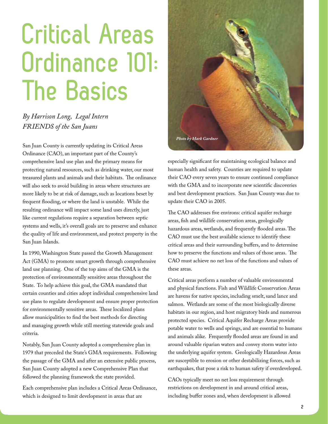# **Critical Areas Ordinance 101: The Basics**

*By Harrison Long, Legal Intern FRIENDS of the San Juans*

San Juan County is currently updating its Critical Areas Ordinance (CAO), an important part of the County's comprehensive land use plan and the primary means for protecting natural resources, such as drinking water, our most treasured plants and animals and their habitats. The ordinance will also seek to avoid building in areas where structures are more likely to be at risk of damage, such as locations beset by frequent flooding, or where the land is unstable. While the resulting ordinance will impact some land uses directly, just like current regulations require a separation between septic systems and wells, it's overall goals are to preserve and enhance the quality of life and environment, and protect property in the San Juan Islands.

In 1990, Washington State passed the Growth Management Act (GMA) to promote smart growth through comprehensive land use planning. One of the top aims of the GMA is the protection of environmentally sensitive areas throughout the State. To help achieve this goal, the GMA mandated that certain counties and cities adopt individual comprehensive land use plans to regulate development and ensure proper protection for environmentally sensitive areas. These localized plans allow municipalities to find the best methods for directing and managing growth while still meeting statewide goals and criteria.

Notably, San Juan County adopted a comprehensive plan in 1979 that preceded the State's GMA requirements. Following the passage of the GMA and after an extensive public process, San Juan County adopted a new Comprehensive Plan that followed the planning framework the state provided.

Each comprehensive plan includes a Critical Areas Ordinance, which is designed to limit development in areas that are



especially significant for maintaining ecological balance and human health and safety. Counties are required to update their CAO every seven years to ensure continued compliance with the GMA and to incorporate new scientific discoveries and best development practices. San Juan County was due to update their CAO in 2005.

The CAO addresses five environs: critical aquifer recharge areas, fish and wildlife conservation areas, geologically hazardous areas, wetlands, and frequently flooded areas. The CAO must use the best available science to identify these critical areas and their surrounding buffers, and to determine how to preserve the functions and values of those areas. The CAO must achieve no net loss of the functions and values of these areas.

Critical areas perform a number of valuable environmental and physical functions. Fish and Wildlife Conservation Areas are havens for native species, including smelt, sand lance and salmon. Wetlands are some of the most biologically diverse habitats in our region, and host migratory birds and numerous protected species. Critical Aquifer Recharge Areas provide potable water to wells and springs, and are essential to humans and animals alike. Frequently flooded areas are found in and around valuable riparian waters and convey storm water into the underlying aquifer system. Geologically Hazardous Areas are susceptible to erosion or other destabilizing forces, such as earthquakes, that pose a risk to human safety if overdeveloped.

CAOs typically meet no net loss requirement through restrictions on development in and around critical areas, including buffer zones and, when development is allowed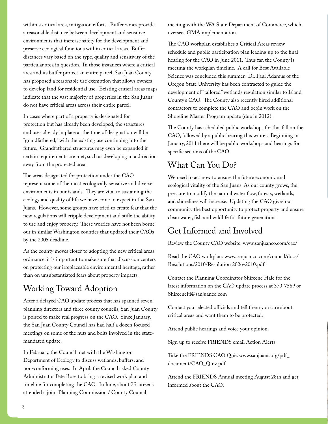within a critical area, mitigation efforts. Buffer zones provide a reasonable distance between development and sensitive environments that increase safety for the development and preserve ecological functions within critical areas. Buffer distances vary based on the type, quality and sensitivity of the particular area in question. In those instances where a critical area and its buffer protect an entire parcel, San Juan County has proposed a reasonable use exemption that allows owners to develop land for residential use. Existing critical areas maps indicate that the vast majority of properties in the San Juans do not have critical areas across their entire parcel.

In cases where part of a property is designated for protection but has already been developed, the structures and uses already in place at the time of designation will be "grandfathered," with the existing use continuing into the future. Grandfathered structures may even be expanded if certain requirements are met, such as developing in a direction away from the protected area.

The areas designated for protection under the CAO represent some of the most ecologically sensitive and diverse environments in our islands. They are vital to sustaining the ecology and quality of life we have come to expect in the San Juans. However, some groups have tried to create fear that the new regulations will cripple development and stifle the ability to use and enjoy property. These worries have not been borne out in similar Washington counties that updated their CAOs by the 2005 deadline.

As the county moves closer to adopting the new critical areas ordinance, it is important to make sure that discussion centers on protecting our irreplaceable environmental heritage, rather than on unsubstantiated fears about property impacts.

#### Working Toward Adoption

After a delayed CAO update process that has spanned seven planning directors and three county councils, San Juan County is poised to make real progress on the CAO. Since January, the San Juan County Council has had half a dozen focused meetings on some of the nuts and bolts involved in the statemandated update.

In February, the Council met with the Washington Department of Ecology to discuss wetlands, buffers, and non-conforming uses. In April, the Council asked County Administrator Pete Rose to bring a revised work plan and timeline for completing the CAO. In June, about 75 citizens attended a joint Planning Commission / County Council

meeting with the WA State Department of Commerce, which oversees GMA implementation.

The CAO workplan establishes a Critical Areas review schedule and public participation plan leading up to the final hearing for the CAO in June 2011. Thus far, the County is meeting the workplan timeline. A call for Best Available Science was concluded this summer. Dr. Paul Adamus of the Oregon State University has been contracted to guide the development of "tailored" wetlands regulation similar to Island County's CAO. The County also recently hired additional contractors to complete the CAO and begin work on the Shoreline Master Program update (due in 2012).

The County has scheduled public workshops for this fall on the CAO, followed by a public hearing this winter. Beginning in January, 2011 there will be public workshops and hearings for specific sections of the CAO.

### What Can You Do?

We need to act now to ensure the future economic and ecological vitality of the San Juans. As our county grows, the pressure to modify the natural water flow, forests, wetlands, and shorelines will increase. Updating the CAO gives our community the best opportunity to protect property and ensure clean water, fish and wildlife for future generations.

### Get Informed and Involved

Review the County CAO website: www.sanjuanco.com/cao/

Read the CAO workplan: www.sanjuanco.com/council/docs/ Resolutions/2010/Resolution 2026-2010.pdf

Contact the Planning Coordinator Shireene Hale for the latest information on the CAO update process at 370-7569 or ShireeneH@sanjuanco.com

Contact your elected officials and tell them you care about critical areas and want them to be protected.

Attend public hearings and voice your opinion.

Sign up to receive FRIENDS email Action Alerts.

Take the FRIENDS CAO Quiz www.sanjuans.org/pdf\_ document/CAO\_Quiz.pdf

Attend the FRIENDS Annual meeting August 28th and get informed about the CAO.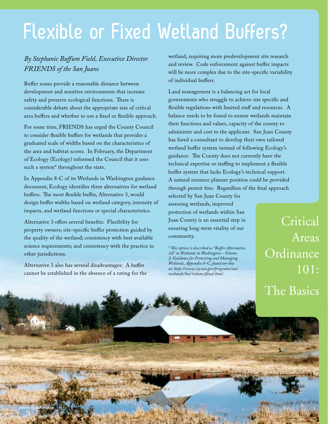### **Flexible or Fixed Wetland Buffers?**

#### *By Stephanie Buffum Field, Executive Director FRIENDS of the San Juans*

Buffer zones provide a reasonable distance between development and sensitive environments that increase safety and preserve ecological functions. There is considerable debate about the appropriate size of critical area buffers and whether to use a fixed or flexible approach.

For some time, FRIENDS has urged the County Council to consider flexible buffers for wetlands that provides a graduated scale of widths based on the characteristics of the area and habitat scores. In February, the Department of Ecology (Ecology) informed the Council that it uses such a system\* throughout the state.

In Appendix 8-C of its Wetlands in Washington guidance document, Ecology identifies three alternatives for wetland buffers. The most flexible buffer, Alternative 3, would design buffer widths based on wetland category, intensity of impacts, and wetland functions or special characteristics.

Alternative 3 offers several benefits: Flexibility for property owners; site-specific buffer protection guided by the quality of the wetland; consistency with best available science requirements; and consistency with the practice in other jurisdictions.

Alternative 3 also has several disadvantages: A buffer cannot be established in the absence of a rating for the wetland, requiring more predevelopment site research and review. Code enforcement against buffer impacts will be more complex due to the site-specific variability of individual buffers.

Land management is a balancing act for local governments who struggle to achieve site specific and flexible regulations with limited staff and resources. A balance needs to be found to ensure wetlands maintain their functions and values, capacity of the county to administer and cost to the applicant. San Juan County has hired a consultant to develop their own tailored wetland buffer system instead of following Ecology's guidance. The County does not currently have the technical expertise or staffing to implement a flexible buffer system that lacks Ecology's technical support. A natural resource planner position could be provided through permit fees. Regardless of the final approach

selected by San Juan County for assessing wetlands, improved protection of wetlands within San Juan County is an essential step in ensuring long-term vitality of our community.

*\* This option is described as "Buffer Alternative 3A" in Wetlands in Washington – Volume 2: Guidance for Protecting and Managing Wetlands, Appendix 8-C, found on-line at: http://www.ecy.wa.gov/programs/sea/ wetlands/bas/volume2final.html.* 

Critical Areas Ordinance 101: The Basics

*photo: Ron Keeshan* **<sup>4</sup>**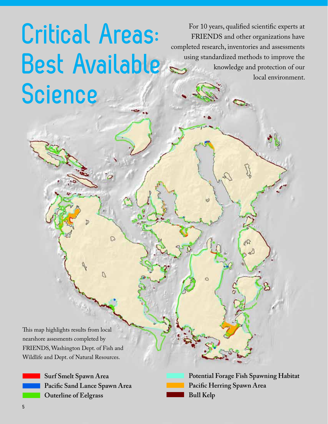# **Critical Areas: Best Available Science**

D

Ŋ

For 10 years, qualified scientific experts at FRIENDS and other organizations have completed research, inventories and assessments using standardized methods to improve the knowledge and protection of our local environment.

This map highlights results from local nearshore assesments completed by FRIENDS, Washington Dept. of Fish and Wildlife and Dept. of Natural Resources.

> **Surf Smelt Spawn Area Pacific Sand Lance Spawn Area Outerline of Eelgrass**

| Potential Forage Fish Spawning Habitat |
|----------------------------------------|
| Pacific Herring Spawn Area             |
| <b>Bull Kelp</b>                       |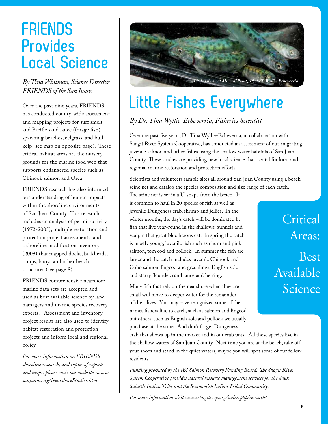### **FRIENDS Provides Local Science**

#### *By Tina Whitman, Science Director FRIENDS of the San Juans*

Over the past nine years, FRIENDS has conducted county-wide assessment and mapping projects for surf smelt and Pacific sand lance (forage fish) spawning beaches, eelgrass, and bull kelp (see map on opposite page). These critical habitat areas are the nursery grounds for the marine food web that supports endangered species such as Chinook salmon and Orca.

FRIENDS research has also informed our understanding of human impacts within the shoreline environments of San Juan County. This research includes an analysis of permit activity (1972-2005), multiple restoration and protection project assessments, and a shoreline modification inventory (2009) that mapped docks, bulkheads, ramps, buoys and other beach structures (see page 8).

FRIENDS comprehensive nearshore marine data sets are accepted and used as best available science by land managers and marine species recovery experts. Assessment and inventory project results are also used to identify habitat restoration and protection projects and inform local and regional policy.

*For more information on FRIENDS shoreline research, and copies of reports and maps, please visit our website: www. sanjuans.org/NearshoreStudies.htm*



### **Little Fishes Everywhere**

*By Dr. Tina Wyllie-Echeverria, Fisheries Scientist*

Over the past five years, Dr. Tina Wyllie-Echeverria, in collaboration with Skagit River System Cooperative, has conducted an assessment of out-migrating juvenile salmon and other fishes using the shallow water habitats of San Juan County. These studies are providing new local science that is vital for local and regional marine restoration and protection efforts.

Scientists and volunteers sample sites all around San Juan County using a beach seine net and catalog the species composition and size range of each catch.

The seine net is set in a U-shape from the beach. It is common to haul in 20 species of fish as well as juvenile Dungeness crab, shrimp and jellies. In the winter months, the day's catch will be dominated by fish that live year-round in the shallows: gunnels and sculpin that great blue herons eat. In spring the catch is mostly young, juvenile fish such as chum and pink salmon, tom cod and pollock. In summer the fish are larger and the catch includes juvenile Chinook and Coho salmon, lingcod and greenlings, English sole and starry flounder, sand lance and herring.

Many fish that rely on the nearshore when they are small will move to deeper water for the remainder of their lives. You may have recognized some of the names fishers like to catch, such as salmon and lingcod but others, such as English sole and pollock we usually purchase at the store. And don't forget Dungeness

**Critical** Areas: Best Available Science

crab that shows up in the market and in our crab pots! All these species live in the shallow waters of San Juan County. Next time you are at the beach, take off your shoes and stand in the quiet waters, maybe you will spot some of our fellow residents.

*Funding provided by the WA Salmon Recovery Funding Board. The Skagit River System Cooperative provides natural resource management services for the Sauk-Suiattle Indian Tribe and the Swinomish Indian Tribal Community.*

*For more information visit www.skagitcoop.org/index.php/research/*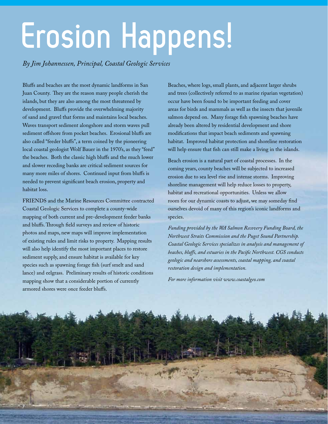# **Erosion Happens!**

*By Jim Johannessen, Principal, Coastal Geologic Services*

Bluffs and beaches are the most dynamic landforms in San Juan County. They are the reason many people cherish the islands, but they are also among the most threatened by development. Bluffs provide the overwhelming majority of sand and gravel that forms and maintains local beaches. Waves transport sediment alongshore and storm waves pull sediment offshore from pocket beaches. Erosional bluffs are also called "feeder bluffs", a term coined by the pioneering local coastal geologist Wolf Bauer in the 1970's, as they "feed" the beaches. Both the classic high bluffs and the much lower and slower receding banks are critical sediment sources for many more miles of shores. Continued input from bluffs is needed to prevent significant beach erosion, property and habitat loss.

FRIENDS and the Marine Resources Committee contracted Coastal Geologic Services to complete a county-wide mapping of both current and pre-development feeder banks and bluffs. Through field surveys and review of historic photos and maps, new maps will improve implementation of existing rules and limit risks to property. Mapping results will also help identify the most important places to restore sediment supply, and ensure habitat is available for key species such as spawning forage fish (surf smelt and sand lance) and eelgrass. Preliminary results of historic conditions mapping show that a considerable portion of currently armored shores were once feeder bluffs.

Beaches, where logs, small plants, and adjacent larger shrubs and trees (collectively referred to as marine riparian vegetation) occur have been found to be important feeding and cover areas for birds and mammals as well as the insects that juvenile salmon depend on. Many forage fish spawning beaches have already been altered by residential development and shore modifications that impact beach sediments and spawning habitat. Improved habitat protection and shoreline restoration will help ensure that fish can still make a living in the islands.

Beach erosion is a natural part of coastal processes. In the coming years, county beaches will be subjected to increased erosion due to sea level rise and intense storms. Improving shoreline management will help reduce losses to property, habitat and recreational opportunities. Unless we allow room for our dynamic coasts to adjust, we may someday find ourselves devoid of many of this region's iconic landforms and species.

*Funding provided by the WA Salmon Recovery Funding Board, the Northwest Straits Commission and the Puget Sound Partnership. Coastal Geologic Services specializes in analysis and management of beaches, bluffs, and estuaries in the Pacific Northwest. CGS conducts geologic and nearshore assessments, coastal mapping, and coastal restoration design and implementation.* 

*For more information visit www.coastalgeo.com*

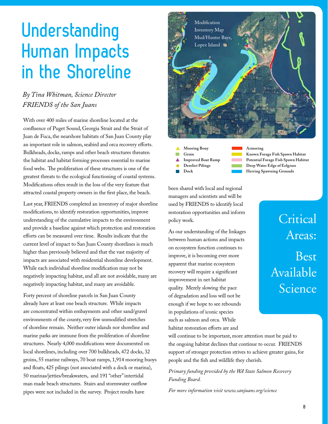### **Understanding Human Impacts in the Shoreline**

#### *By Tina Whitman, Science Director FRIENDS of the San Juans*

With over 400 miles of marine shoreline located at the confluence of Puget Sound, Georgia Strait and the Strait of Juan de Fuca, the nearshore habitats of San Juan County play an important role in salmon, seabird and orca recovery efforts. Bulkheads, docks, ramps and other beach structures threaten the habitat and habitat forming processes essential to marine food webs. The proliferation of these structures is one of the greatest threats to the ecological functioning of coastal systems. Modifications often result in the loss of the very feature that attracted coastal property owners in the first place, the beach.

Last year, FRIENDS completed an inventory of major shoreline modifications, to identify restoration opportunities, improve understanding of the cumulative impacts to the environment and provide a baseline against which protection and restoration efforts can be measured over time. Results indicate that the current level of impact to San Juan County shorelines is much higher than previously believed and that the vast majority of impacts are associated with residential shoreline development. While each individual shoreline modification may not be negatively impacting habitat, and all are not avoidable, many are negatively impacting habitat, and many are avoidable.

Forty percent of shoreline parcels in San Juan County already have at least one beach structure. While impacts are concentrated within embayments and other sand/gravel environments of the county, very few unmodified stretches of shoreline remain. Neither outer islands nor shoreline and marine parks are immune from the proliferation of shoreline structures. Nearly 4,000 modifications were documented on local shorelines, including over 700 bulkheads, 472 docks, 32 groins, 55 marine railways, 70 boat ramps, 1,914 mooring buoys and floats, 425 pilings (not associated with a dock or marina), 50 marinas/jetties/breakwaters, and 191 "other" intertidal man made beach structures. Stairs and stormwater outflow pipes were not included in the survey. Project results have



**Mooring Bouy Groin Improved Boat Ramp Derelict Pilings Dock**

**Armoring Known Forage Fish Spawn Habitat Potential Forage Fish Spawn Habitat Deep Water Edge of Eelgrass Herring Spawning Grounds**

**Critical** 

Areas:

Available

Science

Best

been shared with local and regional managers and scientists and will be used by FRIENDS to identify local restoration opportunities and inform policy work.

As our understanding of the linkages between human actions and impacts on ecosystem function continues to improve, it is becoming ever more apparent that marine ecosystem recovery will require a significant improvement in net habitat quality. Merely slowing the pace of degradation and loss will not be enough if we hope to see rebounds in populations of iconic species such as salmon and orca. While habitat restoration efforts are and

will continue to be important, more attention must be paid to the ongoing habitat declines that continue to occur. FRIENDS support of stronger protection strives to achieve greater gains, for people and the fish and wildlife they cherish.

*Primary funding provided by the WA State Salmon Recovery Funding Board.*

*For more information visit www.sanjuans.org/science*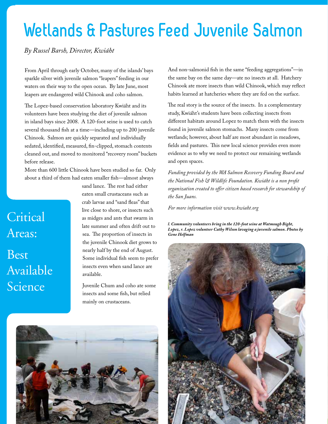### **Wetlands & Pastures Feed Juvenile Salmon**

#### *By Russel Barsh, Director, Kwiáht*

From April through early October, many of the islands' bays sparkle silver with juvenile salmon "leapers" feeding in our waters on their way to the open ocean. By late June, most leapers are endangered wild Chinook and coho salmon.

The Lopez-based conservation laboratory Kwiáht and its volunteers have been studying the diet of juvenile salmon in island bays since 2008. A 120-foot seine is used to catch several thousand fish at a time—including up to 200 juvenile Chinook. Salmon are quickly separated and individually sedated, identified, measured, fin-clipped, stomach contents cleaned out, and moved to monitored "recovery room" buckets before release.

More than 600 little Chinook have been studied so far. Only about a third of them had eaten smaller fish—almost always

### **Critical** Areas: **Best** Available Science

sand lance. The rest had either eaten small crustaceans such as crab larvae and "sand fleas" that live close to shore, or insects such as midges and ants that swarm in late summer and often drift out to sea. The proportion of insects in the juvenile Chinook diet grows to nearly half by the end of August. Some individual fish seem to prefer insects even when sand lance are available.

Juvenile Chum and coho ate some insects and some fish, but relied mainly on crustaceans.



And non-salmonid fish in the same "feeding aggregations"—in the same bay on the same day—ate no insects at all. Hatchery Chinook ate more insects than wild Chinook, which may reflect habits learned at hatcheries where they are fed on the surface.

The real story is the source of the insects. In a complementary study, Kwiáht's students have been collecting insects from different habitats around Lopez to match them with the insects found in juvenile salmon stomachs. Many insects come from wetlands; however, about half are most abundant in meadows, fields and pastures. This new local science provides even more evidence as to why we need to protect our remaining wetlands and open spaces.

*Funding provided by the WA Salmon Recovery Funding Board and the National Fish & Wildlife Foundation. Kwiáht is a non profit organization created to offer citizen based research for stewardship of the San Juans.*

*For more information visit www.kwiaht.org*

*l. Community volunteers bring in the 120-foot seine at Watmough Bight, Lopez, r. Lopez volunteer Cathy Wilson lavaging a juvenile salmon. Photos by Gene Helfman*

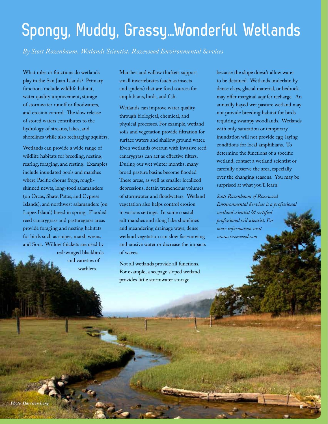### **Spongy, Muddy, Grassy…Wonderful Wetlands**

*By Scott Rozenbaum, Wetlands Scientist, Rozewood Environmental Services*

What roles or functions do wetlands play in the San Juan Islands? Primary functions include wildlife habitat, water quality improvement, storage of stormwater runoff or floodwaters, and erosion control. The slow release of stored waters contributes to the hydrology of streams, lakes, and shorelines while also recharging aquifers.

Wetlands can provide a wide range of wildlife habitats for breeding, nesting, rearing, foraging, and resting. Examples include inundated pools and marshes where Pacific chorus frogs, roughskinned newts, long-toed salamanders (on Orcas, Shaw, Patos, and Cypress Islands), and northwest salamanders (on Lopez Island) breed in spring. Flooded reed canarygrass and pasturegrass areas provide foraging and nesting habitats for birds such as snipes, marsh wrens, and Sora. Willow thickets are used by

> red-winged blackbirds and varieties of warblers.

Marshes and willow thickets support small invertebrates (such as insects and spiders) that are food sources for amphibians, birds, and fish.

Wetlands can improve water quality through biological, chemical, and physical processes. For example, wetland soils and vegetation provide filtration for surface waters and shallow ground water. Even wetlands overrun with invasive reed canarygrass can act as effective filters. During our wet winter months, many broad pasture basins become flooded. These areas, as well as smaller localized depressions, detain tremendous volumes of stormwater and floodwaters. Wetland vegetation also helps control erosion in various settings. In some coastal salt marshes and along lake shorelines and meandering drainage ways, dense wetland vegetation can slow fast-moving and erosive water or decrease the impacts of waves.

Not all wetlands provide all functions. For example, a seepage sloped wetland provides little stormwater storage

because the slope doesn't allow water to be detained. Wetlands underlain by dense clays, glacial material, or bedrock may offer marginal aquifer recharge. An annually hayed wet pasture wetland may not provide breeding habitat for birds requiring swampy woodlands. Wetlands with only saturation or temporary inundation will not provide egg-laying conditions for local amphibians. To determine the functions of a specific wetland, contact a wetland scientist or carefully observe the area, especially over the changing seasons. You may be surprised at what you'll learn!

*Scott Rozenbaum of Rozewood Environmental Services is a professional wetland scientist & certified professional soil scientist. For more information visit www.rozewood.com*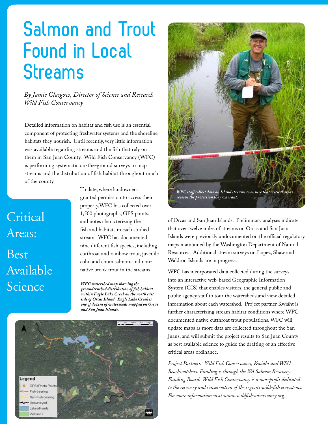### **Salmon and Trout Found in Local Streams**

*By Jamie Glasgow, Director of Science and Research Wild Fish Conservancy*

Detailed information on habitat and fish use is an essential component of protecting freshwater systems and the shoreline habitats they nourish. Until recently, very little information was available regarding streams and the fish that rely on them in San Juan County. Wild Fish Conservancy (WFC) is performing systematic on-the-ground surveys to map streams and the distribution of fish habitat throughout much of the county.

### **Critical** Areas: Best Available **Science**

To date, where landowners granted permission to access their property,WFC has collected over 1,500 photographs, GPS points, and notes characterizing the fish and habitats in each studied stream. WFC has documented nine different fish species, including cutthroat and rainbow trout, juvenile coho and chum salmon, and nonnative brook trout in the streams

*WFC watershed map showing the groundtruthed distribution of fish habitat within Eagle Lake Creek on the north east side of Orcas Island. Eagle Lake Creek is one of dozens of watersheds mapped on Orcas and San Juan Islands.*





of Orcas and San Juan Islands. Preliminary analyses indicate that over twelve miles of streams on Orcas and San Juan Islands were previously undocumented on the official regulatory maps maintained by the Washington Department of Natural Resources. Additional stream surveys on Lopez, Shaw and Waldron Islands are in progress.

WFC has incorporated data collected during the surveys into an interactive web-based Geographic Information System (GIS) that enables visitors, the general public and public agency staff to tour the watersheds and view detailed information about each watershed. Project partner Kwiáht is further characterizing stream habitat conditions where WFC documented native cutthroat trout populations. WFC will update maps as more data are collected throughout the San Juans, and will submit the project results to San Juan County as best available science to guide the drafting of an effective critical areas ordinance.

*Project Partners: Wild Fish Conservancy, Kwiáht and WSU Beachwatchers. Funding is through the WA Salmon Recovery Funding Board. Wild Fish Conservancy is a non-profit dedicated to the recovery and conservation of the region's wild-fish ecosystems. For more information visit www.wildfishconservancy.org*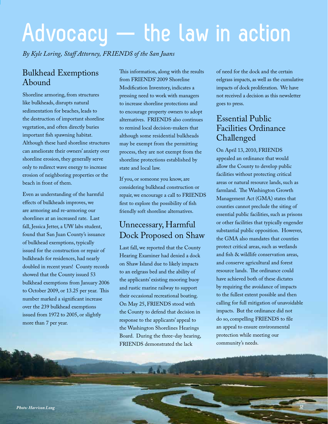# **Advocacy — the law in action**

*By Kyle Loring, Staff Attorney, FRIENDS of the San Juans*

### Bulkhead Exemptions Abound

Shoreline armoring, from structures like bulkheads, disrupts natural sedimentation for beaches, leads to the destruction of important shoreline vegetation, and often directly buries important fish spawning habitat. Although these hard shoreline structures can ameliorate their owners' anxiety over shoreline erosion, they generally serve only to redirect wave energy to increase erosion of neighboring properties or the beach in front of them.

Even as understanding of the harmful effects of bulkheads improves, we are armoring and re-armoring our shorelines at an increased rate. Last fall, Jessica Jetter, a UW labs student, found that San Juan County's issuance of bulkhead exemptions, typically issued for the construction or repair of bulkheads for residences, had nearly doubled in recent years! County records showed that the County issued 53 bulkhead exemptions from January 2006 to October 2009, or 13.25 per year. This number marked a significant increase over the 239 bulkhead exemptions issued from 1972 to 2005, or slightly more than 7 per year.

This information, along with the results from FRIENDS' 2009 Shoreline Modification Inventory, indicates a pressing need to work with managers to increase shoreline protections and to encourage property owners to adopt alternatives. FRIENDS also continues to remind local decision-makers that although some residential bulkheads may be exempt from the permitting process, they are not exempt from the shoreline protections established by state and local law.

If you, or someone you know, are considering bulkhead construction or repair, we encourage a call to FRIENDS first to explore the possibility of fish friendly soft shoreline alternatives.

### Unnecessary, Harmful Dock Proposed on Shaw

Last fall, we reported that the County Hearing Examiner had denied a dock on Shaw Island due to likely impacts to an eelgrass bed and the ability of the applicants' existing mooring buoy and rustic marine railway to support their occasional recreational boating. On May 25, FRIENDS stood with the County to defend that decision in response to the applicants' appeal to the Washington Shorelines Hearings Board. During the three-day hearing, FRIENDS demonstrated the lack

of need for the dock and the certain eelgrass impacts, as well as the cumulative impacts of dock proliferation. We have not received a decision as this newsletter goes to press.

### Essential Public Facilities Ordinance Challenged

On April 13, 2010, FRIENDS appealed an ordinance that would allow the County to develop public facilities without protecting critical areas or natural resource lands, such as farmland. The Washington Growth Management Act (GMA) states that counties cannot preclude the siting of essential public facilities, such as prisons or other facilities that typically engender substantial public opposition. However, the GMA also mandates that counties protect critical areas, such as wetlands and fish & wildlife conservation areas, and conserve agricultural and forest resource lands. The ordinance could have achieved both of these dictates by requiring the avoidance of impacts to the fullest extent possible and then calling for full mitigation of unavoidable impacts. But the ordinance did not do so, compelling FRIENDS to file an appeal to ensure environmental protection while meeting our community's needs.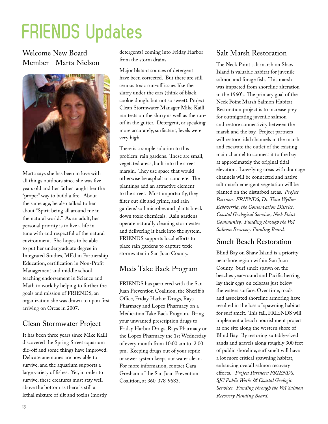### **FRIENDS Updates**

Welcome New Board Member - Marta Nielson



Marta says she has been in love with all things outdoors since she was five years old and her father taught her the "proper" way to build a fire. About the same age, he also talked to her about "Spirit being all around me in the natural world." As an adult, her personal priority is to live a life in tune with and respectful of the natural environment. She hopes to be able to put her undergraduate degree in Integrated Studies, MEd in Partnership Education, certification in Non-Profit Management and middle school teaching endorsement in Science and Math to work by helping to further the goals and mission of FRIENDS, an organization she was drawn to upon first arriving on Orcas in 2007.

#### Clean Stormwater Project

It has been three years since Mike Kaill discovered the Spring Street aquarium die-off and some things have improved. Delicate anemones are now able to survive, and the aquarium supports a large variety of fishes. Yet, in order to survive, these creatures must stay well above the bottom as there is still a lethal mixture of silt and toxins (mostly

detergents) coming into Friday Harbor from the storm drains.

Major blatant sources of detergent have been corrected. But there are still serious toxic run-off issues like the slurry under the cars (think of black cookie dough, but not so sweet). Project Clean Stormwater Manager Mike Kaill ran tests on the slurry as well as the runoff in the gutter. Detergent, or speaking more accurately, surfactant, levels were very high.

There is a simple solution to this problem: rain gardens. These are small, vegetated areas, built into the street margin. They use space that would otherwise be asphalt or concrete. The plantings add an attractive element to the street. Most importantly, they filter out silt and grime, and rain gardens' soil microbes and plants break down toxic chemicals. Rain gardens operate naturally cleaning stormwater and delivering it back into the system. FRIENDS supports local efforts to place rain gardens to capture toxic stormwater in San Juan County.

#### Meds Take Back Program

FRIENDS has partnered with the San Juan Prevention Coalition, the Sheriff 's Office, Friday Harbor Drugs, Rays Pharmacy and Lopez Pharmacy on a Medication Take Back Program. Bring your unwanted prescription drugs to Friday Harbor Drugs, Rays Pharmacy or the Lopez Pharmacy the 1st Wednesday of every month from 10:00 am to 2:00 pm. Keeping drugs out of your septic or sewer system keeps our water clean. For more information, contact Cara Gresham of the San Juan Prevention Coalition, at 360-378-9683.

#### Salt Marsh Restoration

The Neck Point salt marsh on Shaw Island is valuable habitat for juvenile salmon and forage fish. This marsh was impacted from shoreline alteration in the 1960's. The primary goal of the Neck Point Marsh Salmon Habitat Restoration project is to increase prey for outmigrating juvenile salmon and restore connectivity between the marsh and the bay. Project partners will restore tidal channels in the marsh and excavate the outlet of the existing main channel to connect it to the bay at approximately the original tidal elevation. Low-lying areas with drainage channels will be connected and native salt marsh emergent vegetation will be planted on the disturbed areas. *Project Partners: FRIENDS, Dr. Tina Wyllie-Echeverria, the Conservation District, Coastal Geological Services, Neck Point Community. Funding through the WA Salmon Recovery Funding Board.*

#### Smelt Beach Restoration

Blind Bay on Shaw Island is a priority nearshore region within San Juan County. Surf smelt spawn on the beaches year-round and Pacific herring lay their eggs on eelgrass just below the waters surface. Over time, roads and associated shoreline armoring have resulted in the loss of spawning habitat for surf smelt. This fall, FRIENDS will implement a beach nourishment project at one site along the western shore of Blind Bay. By restoring suitably-sized sands and gravels along roughly 300 feet of public shoreline, surf smelt will have a lot more critical spawning habitat, enhancing overall salmon recovery efforts. *Project Partners: FRIENDS, SJC Public Works & Coastal Geologic Services. Funding through the WA Salmon Recovery Funding Board.*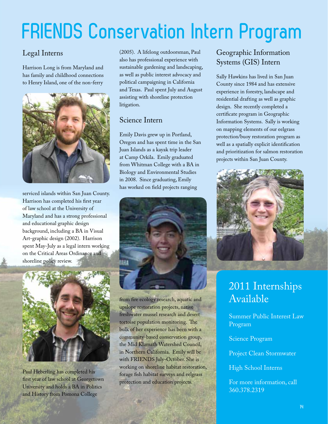### **FRIENDS Conservation Intern Program**

### Legal Interns

Harrison Long is from Maryland and has family and childhood connections to Henry Island, one of the non-ferry



serviced islands within San Juan County. Harrison has completed his first year of law school at the University of Maryland and has a strong professional and educational graphic design background, including a BA in Visual Art-graphic design (2002). Harrison spent May-July as a legal intern working on the Critical Areas Ordinance and shoreline policy review.



Paul Heberling has completed his first year of law school at Georgetown University and holds a BA in Politics and History from Pomona College

(2005). A lifelong outdoorsman, Paul also has professional experience with sustainable gardening and landscaping, as well as public interest advocacy and political campaigning in California and Texas. Paul spent July and August assisting with shoreline protection litigation.

#### Science Intern

Emily Davis grew up in Portland, Oregon and has spent time in the San Juan Islands as a kayak trip leader at Camp Orkila. Emily graduated from Whitman College with a BA in Biology and Environmental Studies in 2008. Since graduating, Emily has worked on field projects ranging



from fire ecology research, aquatic and upslope restoration projects, native freshwater mussel research and desert tortoise population monitoring. The bulk of her experience has been with a community-based conservation group, the Mid Klamath Watershed Council, in Northern California. Emily will be with FRIENDS July-October. She is working on shoreline habitat restoration, forage fish habitat surveys and eelgrass protection and education projects.

#### Geographic Information Systems (GIS) Intern

Sally Hawkins has lived in San Juan County since 1984 and has extensive experience in forestry, landscape and residential drafting as well as graphic design. She recently completed a certificate program in Geographic Information Systems. Sally is working on mapping elements of our eelgrass protection/buoy restoration program as well as a spatially explicit identification and prioritization for salmon restoration projects within San Juan County.



### 2011 Internships Available

Summer Public Interest Law Program

Science Program

Project Clean Stormwater

High School Interns

For more information, call 360.378.2319